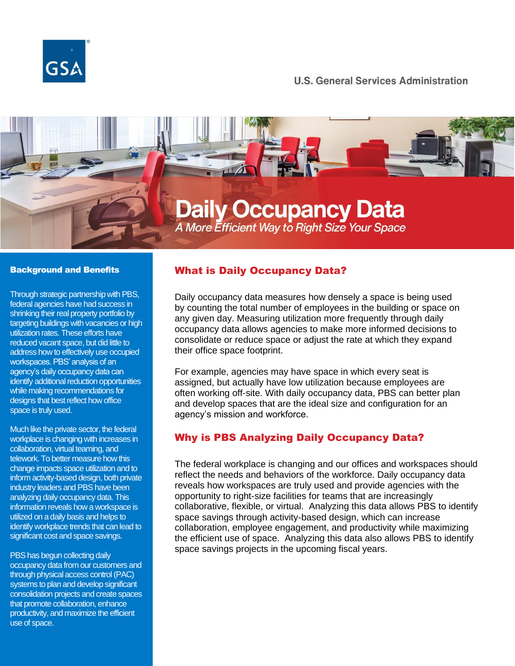

### **U.S. General Services Administration**



#### Background and Benefits

Through strategic partnership with PBS, federal agencies have had success in shrinking their real property portfolio by targeting buildings with vacancies or high utilization rates. These efforts have reduced vacant space, but did little to address how to effectively use occupied workspaces. PBS' analysis of an agency's daily occupancy data can identify additional reduction opportunities while making recommendations for designs that best reflect how office space is truly used.

Much like the private sector, the federal workplace is changing with increases in collaboration, virtual teaming, and telework. To better measure how this change impacts space utilization and to inform activity-based design, both private industry leaders and PBS have been analyzing daily occupancy data. This information reveals how a workspace is utilized on a daily basis and helps to identify workplace trends that can lead to significant cost and space savings.

PBS has begun collecting daily occupancy data from our customers and through physical access control (PAC) systems to plan and develop significant consolidation projects and create spaces that promote collaboration, enhance productivity, and maximize the efficient use of space.

### What is Daily Occupancy Data?

Daily occupancy data measures how densely a space is being used by counting the total number of employees in the building or space on any given day. Measuring utilization more frequently through daily occupancy data allows agencies to make more informed decisions to consolidate or reduce space or adjust the rate at which they expand their office space footprint.

For example, agencies may have space in which every seat is assigned, but actually have low utilization because employees are often working off-site. With daily occupancy data, PBS can better plan and develop spaces that are the ideal size and configuration for an agency's mission and workforce.

### Why is PBS Analyzing Daily Occupancy Data?

The federal workplace is changing and our offices and workspaces should reflect the needs and behaviors of the workforce. Daily occupancy data reveals how workspaces are truly used and provide agencies with the opportunity to right-size facilities for teams that are increasingly collaborative, flexible, or virtual. Analyzing this data allows PBS to identify space savings through activity-based design, which can increase collaboration, employee engagement, and productivity while maximizing the efficient use of space. Analyzing this data also allows PBS to identify space savings projects in the upcoming fiscal years.